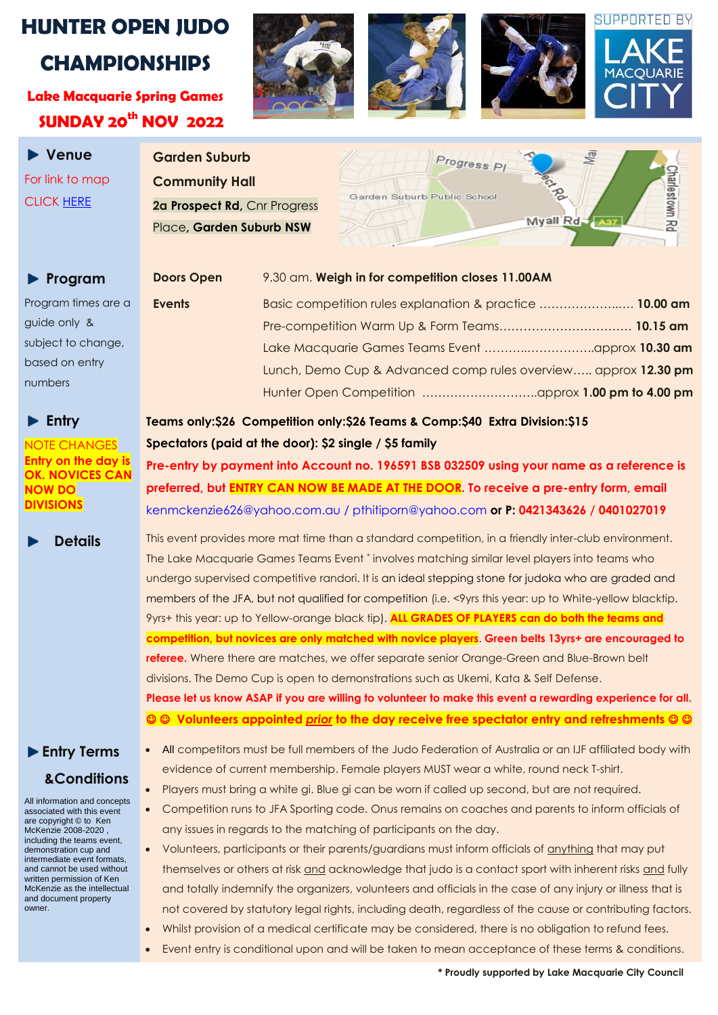## **HUNTER OPEN JUDO CHAMPIONSHIPS**

**Lake Macquarie Spring Games SUNDAY 20 th NOV 2022**

 **Venue**  For link to map CLICK [HERE](https://www.whereis.com/search-results?query=corner%20of%20prospect%20rd%20and%20progress%20place%2C%20Garden%20Suburb%20NSW&bounds=-32.79378862907687%2C151.32456915625%2C-33.07444573546321%2C151.98374884375002&paginationRequestPage=1)



**Garden Suburb Community Hall** 2a Prospect Rd, Cnr Progress Place**, Garden Suburb NSW**



### **Program** Doors

Program times are a guide only & subject to change, based on entry numbers

#### **Entry**

NOTE CHANGES **Entry on the day is OK. NOVICES CAN NOW DO DIVISIONS** 

## **Entry Terms &Conditions**

All information and concepts associated with this event are copyright © to Ken McKenzie 2008-2020 , including the teams event, demonstration cup and intermediate event formats, and cannot be used without written permission of Ken McKenzie as the intellectual and document property owner.

| <b>Doors Open</b> | 9.30 am. Weigh in for competition closes 11.00AM               |  |
|-------------------|----------------------------------------------------------------|--|
| <b>Events</b>     | Basic competition rules explanation & practice  10.00 am       |  |
|                   |                                                                |  |
|                   |                                                                |  |
|                   | Lunch, Demo Cup & Advanced comp rules overview approx 12.30 pm |  |
|                   |                                                                |  |

## **Teams only:\$26 Competition only:\$26 Teams & Comp:\$40 Extra Division:\$15 Spectators (paid at the door): \$2 single / \$5 family**

**Pre-entry by payment into Account no. 196591 BSB 032509 using your name as a reference is preferred, but ENTRY CAN NOW BE MADE AT THE DOOR. To receive a pre-entry form, email**  [kenmckenzie626@yahoo.com.au](mailto:kenmckenzie626@yahoo.com.au) / pthitiporn@yahoo.com **or P: 0421343626 / 0401027019**

**Details** This event provides more mat time than a standard competition, in a friendly inter-club environment. The Lake Macquarie Games Teams Event \* involves matching similar level players into teams who undergo supervised competitive randori. It is an ideal stepping stone for judoka who are graded and members of the JFA, but not qualified for competition (i.e. <9yrs this year: up to White-yellow blacktip. 9yrs+ this year: up to Yellow-orange black tip). **ALL GRADES OF PLAYERS can do both the teams and competition, but novices are only matched with novice players**. **Green belts 13yrs+ are encouraged to referee.** Where there are matches, we offer separate senior Orange-Green and Blue-Brown belt divisions. The Demo Cup is open to demonstrations such as Ukemi, Kata & Self Defense. **Please let us know ASAP if you are willing to volunteer to make this event a rewarding experience for all. Volunteers appointed** *prior* **to the day receive free spectator entry and refreshments** 

- All competitors must be full members of the Judo Federation of Australia or an IJF affiliated body with evidence of current membership. Female players MUST wear a white, round neck T-shirt.
- Players must bring a white gi. Blue gi can be worn if called up second, but are not required.
- Competition runs to JFA Sporting code. Onus remains on coaches and parents to inform officials of any issues in regards to the matching of participants on the day.
- Volunteers, participants or their parents/guardians must inform officials of anything that may put themselves or others at risk and acknowledge that judo is a contact sport with inherent risks and fully and totally indemnify the organizers, volunteers and officials in the case of any injury or illness that is not covered by statutory legal rights, including death, regardless of the cause or contributing factors.
- Whilst provision of a medical certificate may be considered, there is no obligation to refund fees. Event entry is conditional upon and will be taken to mean acceptance of these terms & conditions.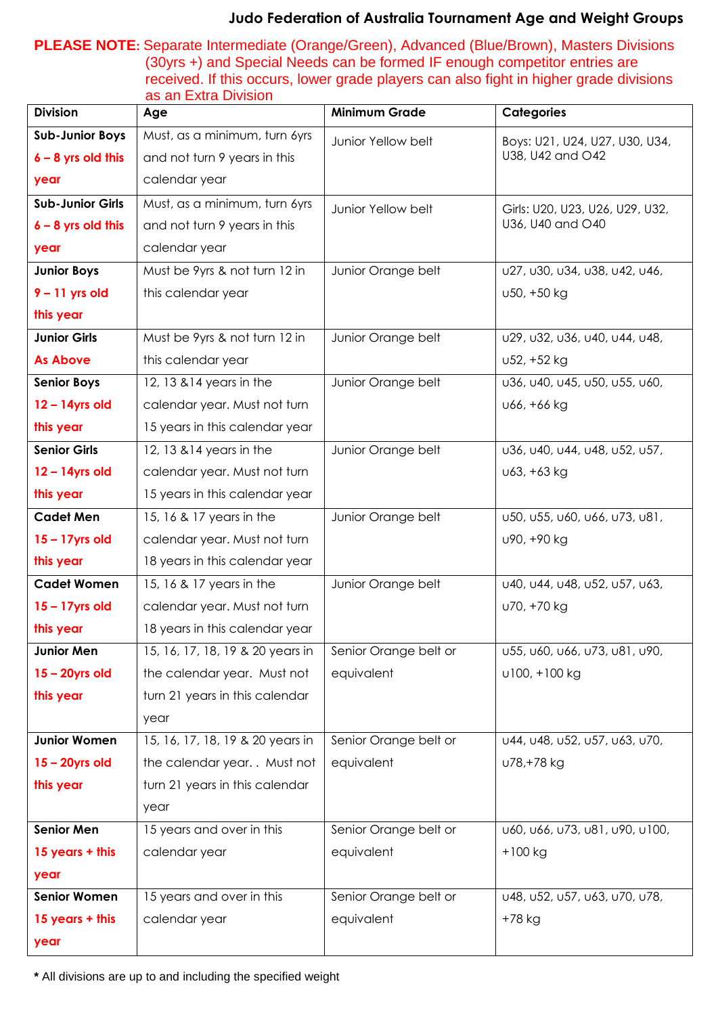#### **Judo Federation of Australia Tournament Age and Weight Groups**

**PLEASE NOTE:** Separate Intermediate (Orange/Green), Advanced (Blue/Brown), Masters Divisions (30yrs +) and Special Needs can be formed IF enough competitor entries are received. If this occurs, lower grade players can also fight in higher grade divisions as an Extra Division

| <b>Division</b>         | Age                              | <b>Minimum Grade</b>  | <b>Categories</b>                                   |
|-------------------------|----------------------------------|-----------------------|-----------------------------------------------------|
| <b>Sub-Junior Boys</b>  | Must, as a minimum, turn 6yrs    | Junior Yellow belt    | Boys: U21, U24, U27, U30, U34,<br>U38, U42 and O42  |
| $6 - 8$ yrs old this    | and not turn 9 years in this     |                       |                                                     |
| year                    | calendar year                    |                       |                                                     |
| <b>Sub-Junior Girls</b> | Must, as a minimum, turn 6yrs    | Junior Yellow belt    | Girls: U20, U23, U26, U29, U32,<br>U36, U40 and O40 |
| $6 - 8$ yrs old this    | and not turn 9 years in this     |                       |                                                     |
| year                    | calendar year                    |                       |                                                     |
| <b>Junior Boys</b>      | Must be 9yrs & not turn 12 in    | Junior Orange belt    | u27, u30, u34, u38, u42, u46,                       |
| $9 - 11$ yrs old        | this calendar year               |                       | u50, +50 kg                                         |
| this year               |                                  |                       |                                                     |
| <b>Junior Girls</b>     | Must be 9yrs & not turn 12 in    | Junior Orange belt    | u29, u32, u36, u40, u44, u48,                       |
| <b>As Above</b>         | this calendar year               |                       | ∪52, +52 kg                                         |
| <b>Senior Boys</b>      | 12, 13 & 14 years in the         | Junior Orange belt    | u36, u40, u45, u50, u55, u60,                       |
| $12 - 14$ yrs old       | calendar year. Must not turn     |                       | ∪66, +66 kg                                         |
| this year               | 15 years in this calendar year   |                       |                                                     |
| <b>Senior Girls</b>     | 12, 13 & 14 years in the         | Junior Orange belt    | u36, u40, u44, u48, u52, u57,                       |
| $12 - 14$ yrs old       | calendar year. Must not turn     |                       | ∪63, +63 kg                                         |
| this year               | 15 years in this calendar year   |                       |                                                     |
| <b>Cadet Men</b>        | 15, 16 & 17 years in the         | Junior Orange belt    | u50, u55, u60, u66, u73, u81,                       |
| $15 - 17$ yrs old       | calendar year. Must not turn     |                       | ∪90, +90 kg                                         |
| this year               | 18 years in this calendar year   |                       |                                                     |
| <b>Cadet Women</b>      | 15, 16 & 17 years in the         | Junior Orange belt    | u40, u44, u48, u52, u57, u63,                       |
| $15 - 17$ yrs old       | calendar year. Must not turn     |                       | ∪70, +70 kg                                         |
| this year               | 18 years in this calendar year   |                       |                                                     |
| <b>Junior Men</b>       | 15, 16, 17, 18, 19 & 20 years in | Senior Orange belt or | u55, u60, u66, u73, u81, u90,                       |
| $15 - 20$ yrs old       | the calendar year. Must not      | equivalent            | $u100, +100$ kg                                     |
| this year               | turn 21 years in this calendar   |                       |                                                     |
|                         | year                             |                       |                                                     |
| <b>Junior Women</b>     | 15, 16, 17, 18, 19 & 20 years in | Senior Orange belt or | u44, u48, u52, u57, u63, u70,                       |
| $15 - 20$ yrs old       | the calendar year Must not       | equivalent            | ∪78,+78 kg                                          |
| this year               | turn 21 years in this calendar   |                       |                                                     |
|                         | year                             |                       |                                                     |
| <b>Senior Men</b>       | 15 years and over in this        | Senior Orange belt or | u60, u66, u73, u81, u90, u100,                      |
| 15 years + this         | calendar year                    | equivalent            | $+100$ kg                                           |
| year                    |                                  |                       |                                                     |
| <b>Senior Women</b>     | 15 years and over in this        | Senior Orange belt or | u48, u52, u57, u63, u70, u78,                       |
| 15 years + this         | calendar year                    | equivalent            | +78 kg                                              |
| year                    |                                  |                       |                                                     |

**\*** All divisions are up to and including the specified weight